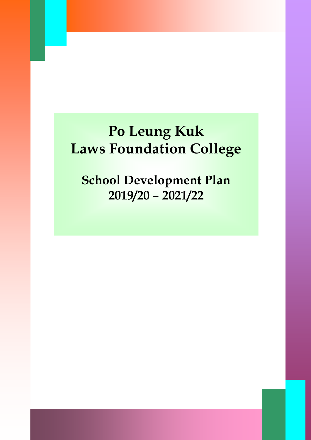# **Po Leung Kuk Laws Foundation College**

**School Development Plan 2019/20 – 2021/22**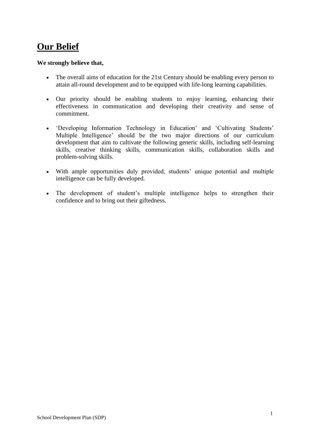# **Our Belief**

#### **We strongly believe that,**

- The overall aims of education for the 21st Century should be enabling every person to attain all-round development and to be equipped with life-long learning capabilities.
- Our priority should be enabling students to enjoy learning, enhancing their effectiveness in communication and developing their creativity and sense of commitment.
- 'Developing Information Technology in Education' and 'Cultivating Students' Multiple Intelligence' should be the two major directions of our curriculum development that aim to cultivate the following generic skills, including self-learning skills, creative thinking skills, communication skills, collaboration skills and problem-solving skills.
- With ample opportunities duly provided, students' unique potential and multiple intelligence can be fully developed.
- The development of student's multiple intelligence helps to strengthen their confidence and to bring out their giftedness.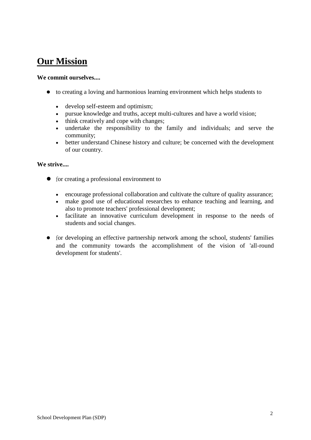### **Our Mission**

#### **We commit ourselves....**

- to creating a loving and harmonious learning environment which helps students to
	- develop self-esteem and optimism;
	- pursue knowledge and truths, accept multi-cultures and have a world vision;
	- think creatively and cope with changes;
	- undertake the responsibility to the family and individuals; and serve the community;
	- better understand Chinese history and culture; be concerned with the development of our country.

#### **We strive....**

- for creating a professional environment to
	- encourage professional collaboration and cultivate the culture of quality assurance;
	- make good use of educational researches to enhance teaching and learning, and also to promote teachers' professional development;
	- facilitate an innovative curriculum development in response to the needs of students and social changes.
- for developing an effective partnership network among the school, students' families and the community towards the accomplishment of the vision of 'all-round development for students'.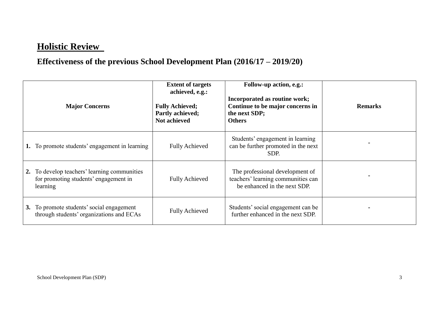# **Holistic Review**

# **Effectiveness of the previous School Development Plan (2016/17 – 2019/20)**

| <b>Major Concerns</b>                                                                          | <b>Extent of targets</b><br>achieved, e.g.:<br><b>Fully Achieved;</b><br>Partly achieved;<br><b>Not achieved</b> | <b>Follow-up action, e.g.:</b><br>Incorporated as routine work;<br>Continue to be major concerns in<br>the next SDP;<br><b>Others</b> | <b>Remarks</b> |
|------------------------------------------------------------------------------------------------|------------------------------------------------------------------------------------------------------------------|---------------------------------------------------------------------------------------------------------------------------------------|----------------|
| To promote students' engagement in learning                                                    | <b>Fully Achieved</b>                                                                                            | Students' engagement in learning<br>can be further promoted in the next<br>SDP.                                                       |                |
| To develop teachers' learning communities<br>for promoting students' engagement in<br>learning | <b>Fully Achieved</b>                                                                                            | The professional development of<br>teachers' learning communities can<br>be enhanced in the next SDP.                                 |                |
| 3. To promote students' social engagement<br>through students' organizations and ECAs          | <b>Fully Achieved</b>                                                                                            | Students' social engagement can be<br>further enhanced in the next SDP.                                                               |                |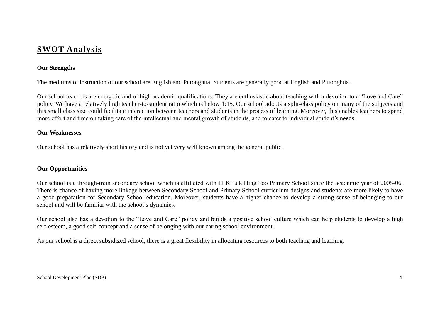### **SWOT Analysis**

#### **Our Strengths**

The mediums of instruction of our school are English and Putonghua. Students are generally good at English and Putonghua.

Our school teachers are energetic and of high academic qualifications. They are enthusiastic about teaching with a devotion to a "Love and Care" policy. We have a relatively high teacher-to-student ratio which is below 1:15. Our school adopts a split-class policy on many of the subjects and this small class size could facilitate interaction between teachers and students in the process of learning. Moreover, this enables teachers to spend more effort and time on taking care of the intellectual and mental growth of students, and to cater to individual student's needs.

#### **Our Weaknesses**

Our school has a relatively short history and is not yet very well known among the general public.

#### **Our Opportunities**

Our school is a through-train secondary school which is affiliated with PLK Luk Hing Too Primary School since the academic year of 2005-06. There is chance of having more linkage between Secondary School and Primary School curriculum designs and students are more likely to have a good preparation for Secondary School education. Moreover, students have a higher chance to develop a strong sense of belonging to our school and will be familiar with the school's dynamics.

Our school also has a devotion to the "Love and Care" policy and builds a positive school culture which can help students to develop a high self-esteem, a good self-concept and a sense of belonging with our caring school environment.

As our school is a direct subsidized school, there is a great flexibility in allocating resources to both teaching and learning.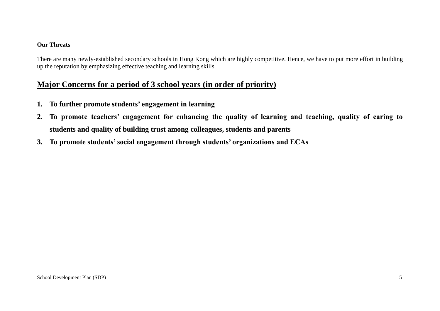#### **Our Threats**

There are many newly-established secondary schools in Hong Kong which are highly competitive. Hence, we have to put more effort in building up the reputation by emphasizing effective teaching and learning skills.

### **Major Concerns for a period of 3 school years (in order of priority)**

- **1. To further promote students' engagement in learning**
- **2. To promote teachers' engagement for enhancing the quality of learning and teaching, quality of caring to students and quality of building trust among colleagues, students and parents**
- **3. To promote students' social engagement through students' organizations and ECAs**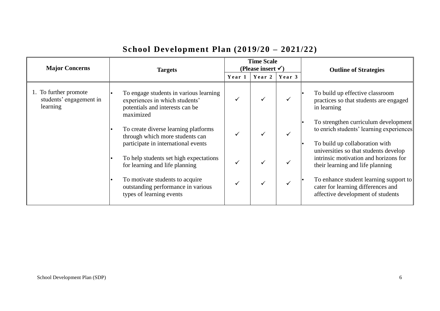| <b>Major Concerns</b>                                        | <b>Targets</b>                                                                                                           | <b>Time Scale</b><br>(Please insert $\checkmark$ ) |        |        | <b>Outline of Strategies</b>                                                                                       |
|--------------------------------------------------------------|--------------------------------------------------------------------------------------------------------------------------|----------------------------------------------------|--------|--------|--------------------------------------------------------------------------------------------------------------------|
|                                                              |                                                                                                                          | Year 1                                             | Year 2 | Year 3 |                                                                                                                    |
| 1. To further promote<br>students' engagement in<br>learning | To engage students in various learning<br>experiences in which students'<br>potentials and interests can be<br>maximized |                                                    |        |        | To build up effective classroom<br>practices so that students are engaged<br>in learning                           |
|                                                              | To create diverse learning platforms<br>through which more students can<br>participate in international events           |                                                    |        |        | To strengthen curriculum development<br>to enrich students' learning experiences<br>To build up collaboration with |
|                                                              | To help students set high expectations<br>for learning and life planning                                                 |                                                    |        |        | universities so that students develop<br>intrinsic motivation and horizons for<br>their learning and life planning |
|                                                              | To motivate students to acquire<br>outstanding performance in various<br>types of learning events                        |                                                    |        |        | To enhance student learning support to<br>cater for learning differences and<br>affective development of students  |

# **School Development Plan (2019/20 – 2021/22)**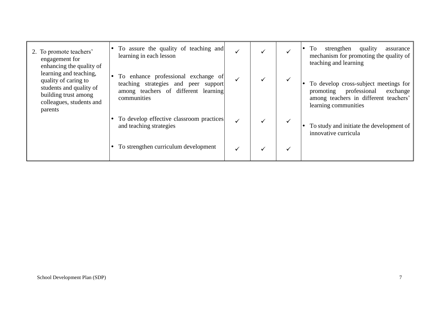| 2. To promote teachers'<br>engagement for<br>enhancing the quality of                                                                    | To assure the quality of teaching and<br>learning in each lesson                                                                   | ✓ |  | quality<br>To<br>strengthen<br>assurance<br>mechanism for promoting the quality of<br>teaching and learning                                     |
|------------------------------------------------------------------------------------------------------------------------------------------|------------------------------------------------------------------------------------------------------------------------------------|---|--|-------------------------------------------------------------------------------------------------------------------------------------------------|
| learning and teaching,<br>quality of caring to<br>students and quality of<br>building trust among<br>colleagues, students and<br>parents | To enhance professional exchange of<br>teaching strategies and peer support<br>among teachers of different learning<br>communities |   |  | To develop cross-subject meetings for<br>professional<br>promoting<br>exchange<br>among teachers in different teachers'<br>learning communities |
|                                                                                                                                          | To develop effective classroom practices<br>and teaching strategies                                                                | ✓ |  | To study and initiate the development of<br>innovative curricula                                                                                |
|                                                                                                                                          | To strengthen curriculum development                                                                                               |   |  |                                                                                                                                                 |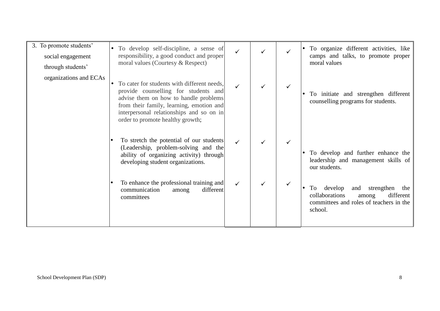| 3. To promote students'<br>social engagement<br>through students' | To develop self-discipline, a sense of<br>$\bullet$<br>responsibility, a good conduct and proper<br>moral values (Courtesy & Respect)                                                                                                                                 | ✓            |  | To organize different activities, like<br>camps and talks, to promote proper<br>moral values                                            |
|-------------------------------------------------------------------|-----------------------------------------------------------------------------------------------------------------------------------------------------------------------------------------------------------------------------------------------------------------------|--------------|--|-----------------------------------------------------------------------------------------------------------------------------------------|
| organizations and ECAs                                            | To cater for students with different needs,<br>$\bullet$<br>provide counselling for students and<br>advise them on how to handle problems<br>from their family, learning, emotion and<br>interpersonal relationships and so on in<br>order to promote healthy growth; | ✓            |  | To initiate and strengthen different<br>counselling programs for students.                                                              |
|                                                                   | To stretch the potential of our students<br>(Leadership, problem-solving and the<br>ability of organizing activity) through<br>developing student organizations.                                                                                                      | $\checkmark$ |  | To develop and further enhance the<br>leadership and management skills of<br>our students.                                              |
|                                                                   | To enhance the professional training and<br>communication<br>different<br>among<br>committees                                                                                                                                                                         |              |  | develop<br>strengthen<br>and<br>To<br>the<br>collaborations<br>different<br>among<br>committees and roles of teachers in the<br>school. |